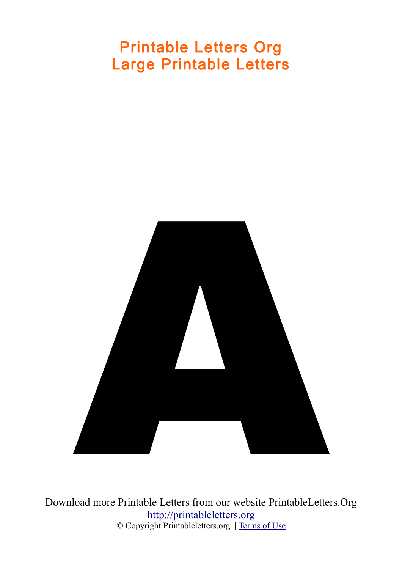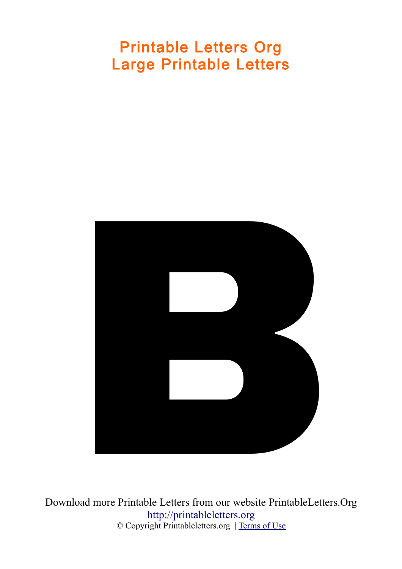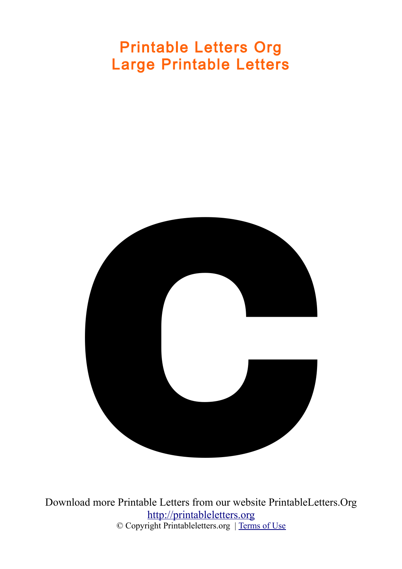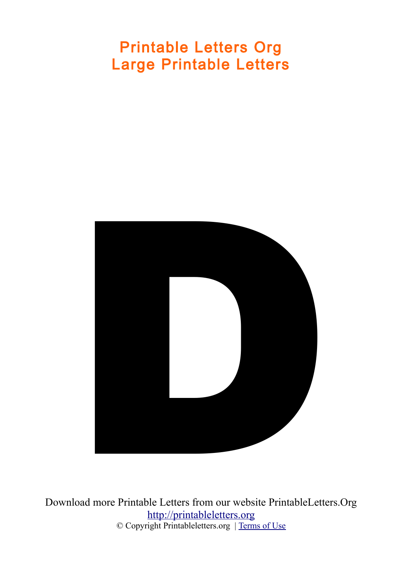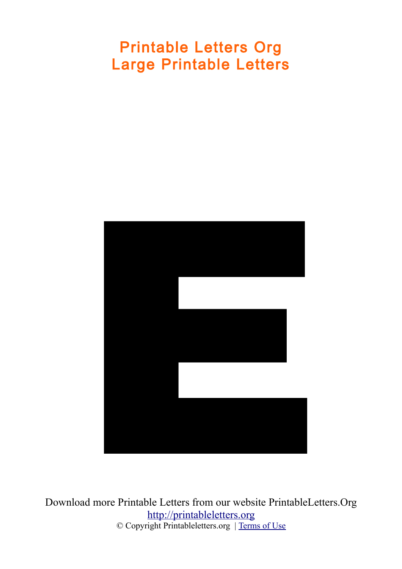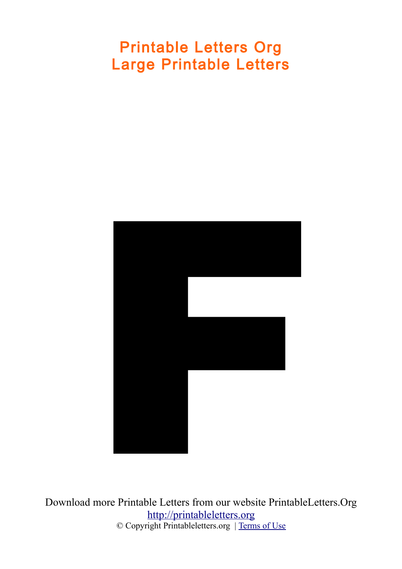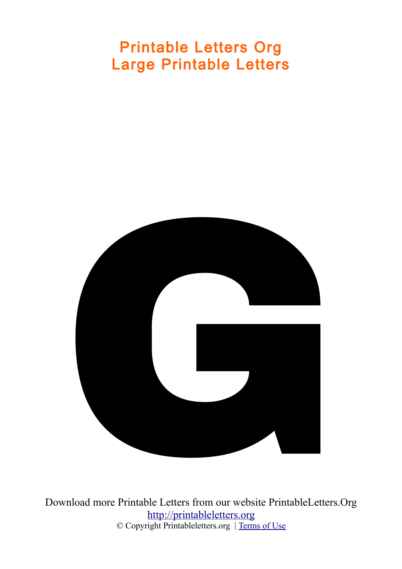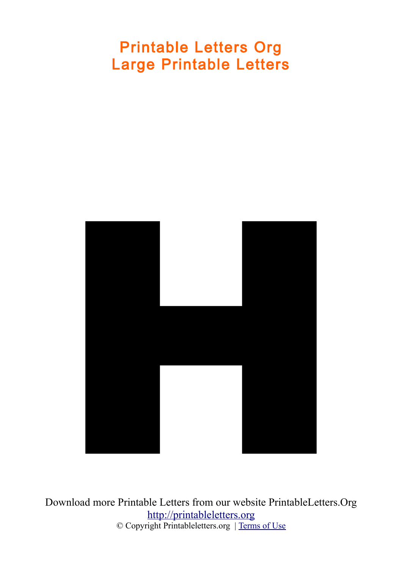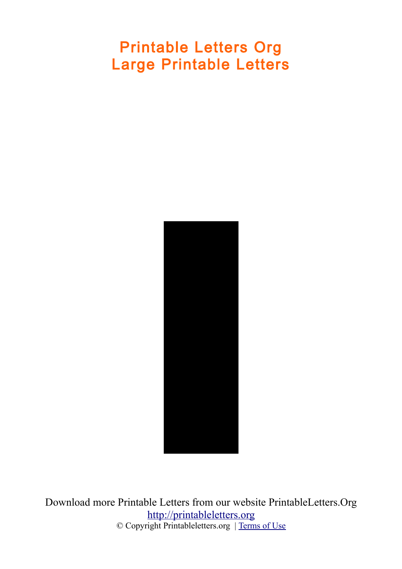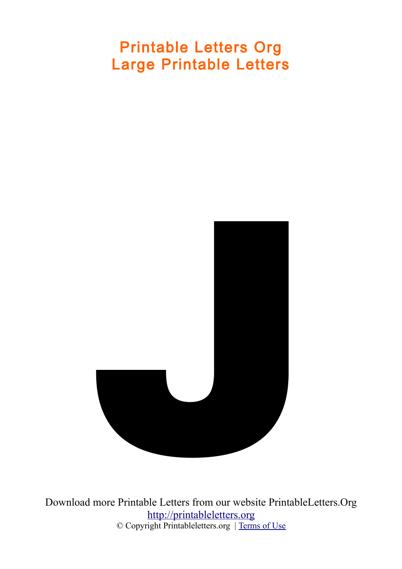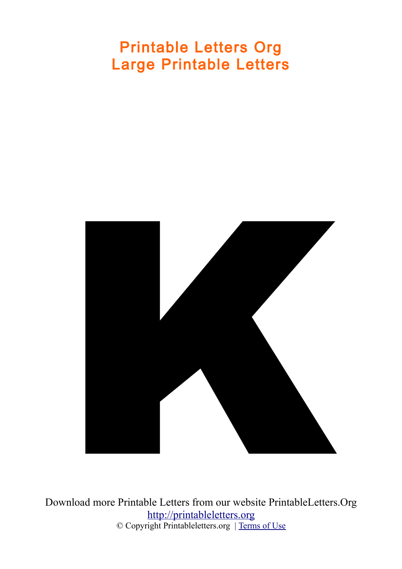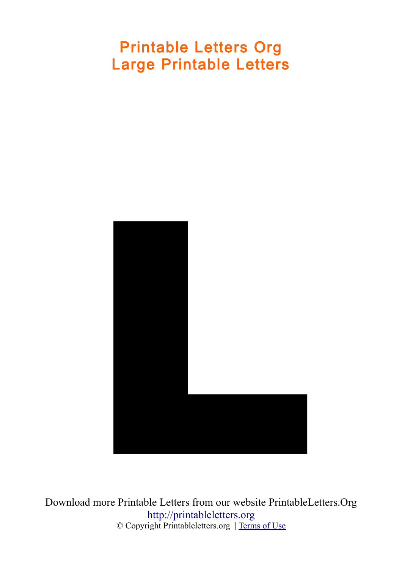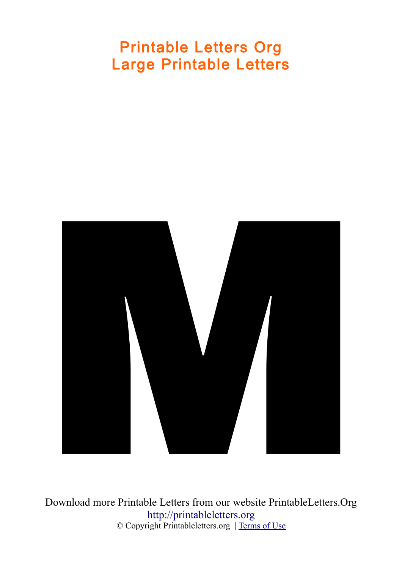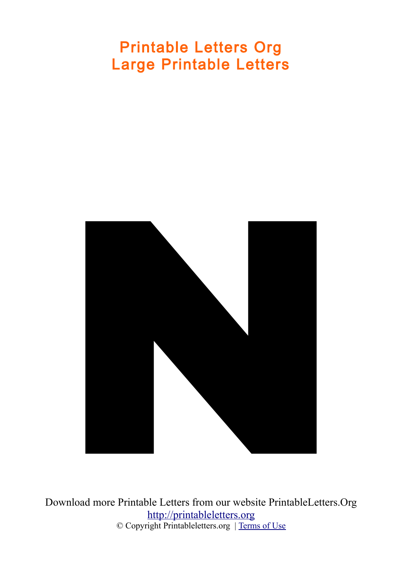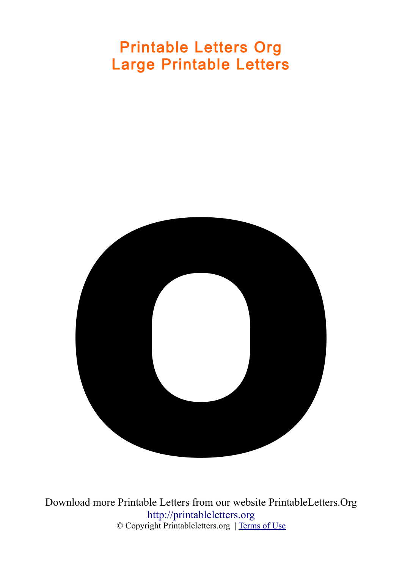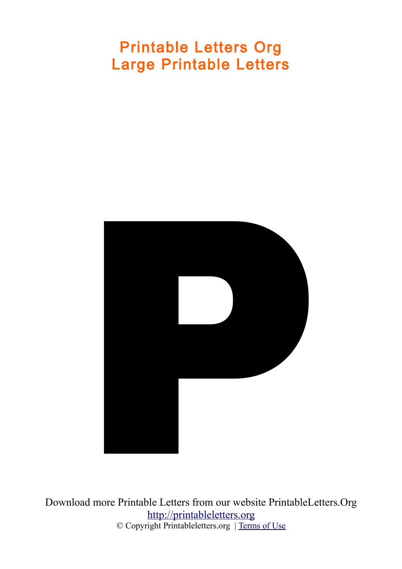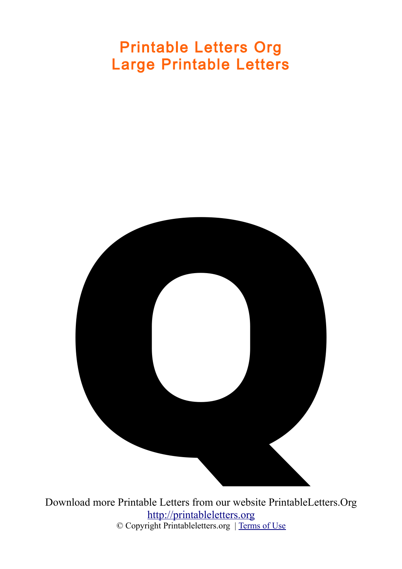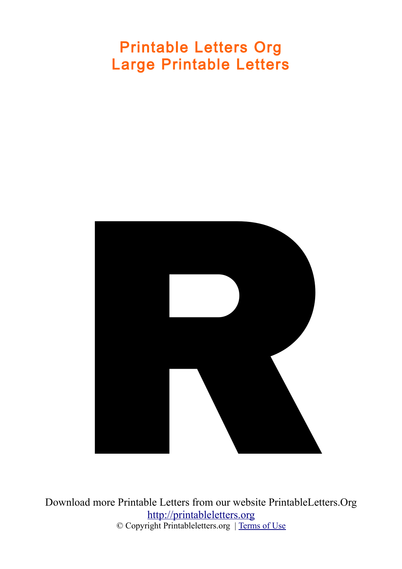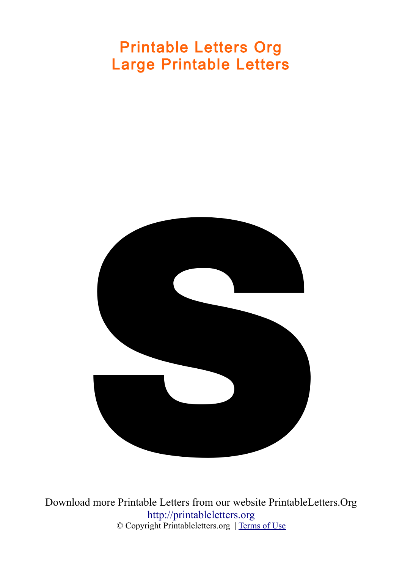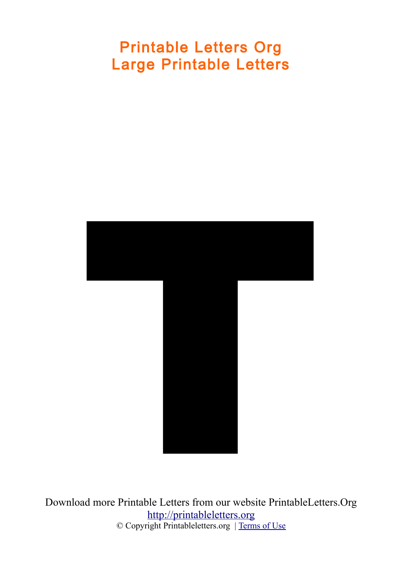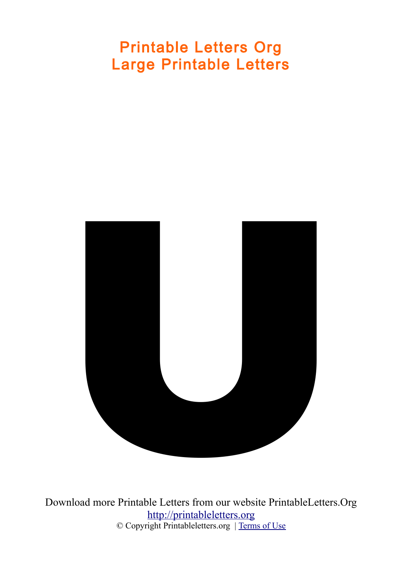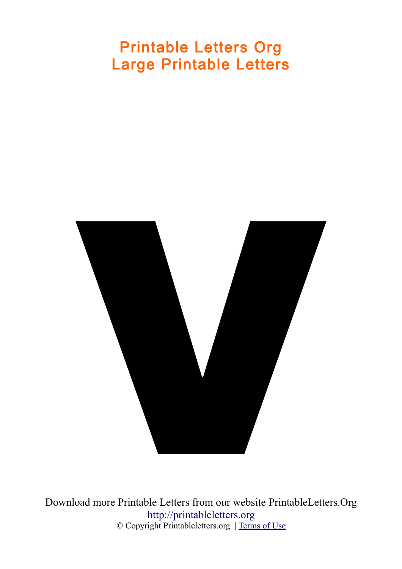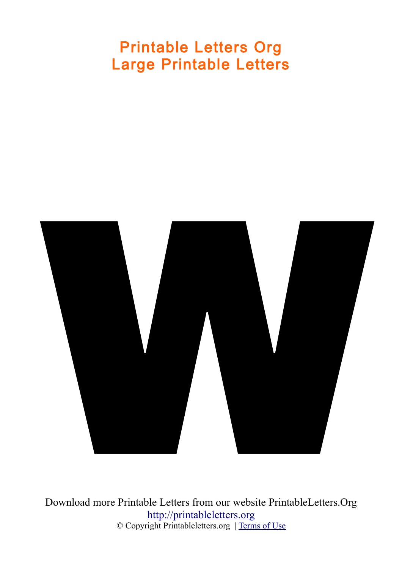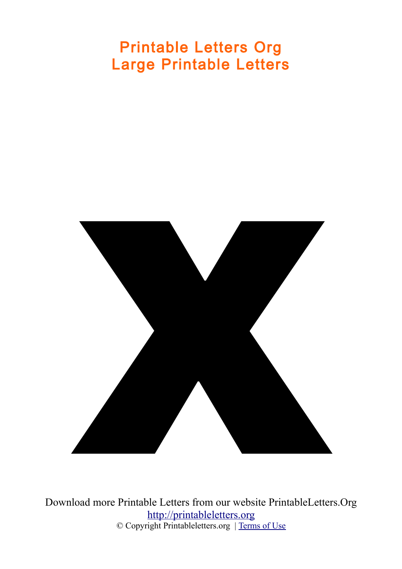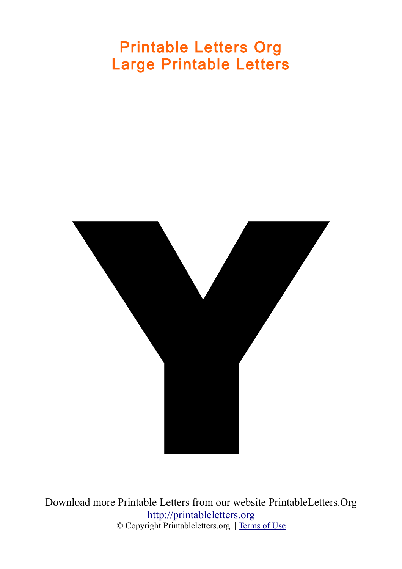